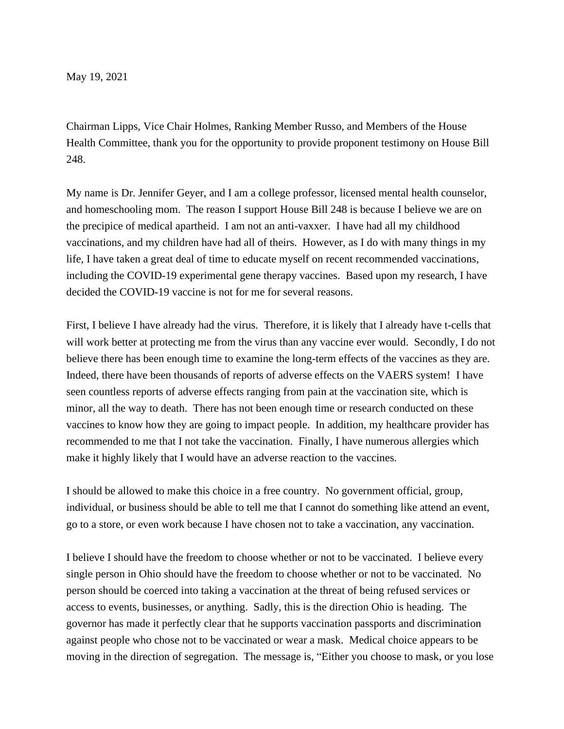May 19, 2021

Chairman Lipps, Vice Chair Holmes, Ranking Member Russo, and Members of the House Health Committee, thank you for the opportunity to provide proponent testimony on House Bill 248.

My name is Dr. Jennifer Geyer, and I am a college professor, licensed mental health counselor, and homeschooling mom. The reason I support House Bill 248 is because I believe we are on the precipice of medical apartheid. I am not an anti-vaxxer. I have had all my childhood vaccinations, and my children have had all of theirs. However, as I do with many things in my life, I have taken a great deal of time to educate myself on recent recommended vaccinations, including the COVID-19 experimental gene therapy vaccines. Based upon my research, I have decided the COVID-19 vaccine is not for me for several reasons.

First, I believe I have already had the virus. Therefore, it is likely that I already have t-cells that will work better at protecting me from the virus than any vaccine ever would. Secondly, I do not believe there has been enough time to examine the long-term effects of the vaccines as they are. Indeed, there have been thousands of reports of adverse effects on the VAERS system! I have seen countless reports of adverse effects ranging from pain at the vaccination site, which is minor, all the way to death. There has not been enough time or research conducted on these vaccines to know how they are going to impact people. In addition, my healthcare provider has recommended to me that I not take the vaccination. Finally, I have numerous allergies which make it highly likely that I would have an adverse reaction to the vaccines.

I should be allowed to make this choice in a free country. No government official, group, individual, or business should be able to tell me that I cannot do something like attend an event, go to a store, or even work because I have chosen not to take a vaccination, any vaccination.

I believe I should have the freedom to choose whether or not to be vaccinated. I believe every single person in Ohio should have the freedom to choose whether or not to be vaccinated. No person should be coerced into taking a vaccination at the threat of being refused services or access to events, businesses, or anything. Sadly, this is the direction Ohio is heading. The governor has made it perfectly clear that he supports vaccination passports and discrimination against people who chose not to be vaccinated or wear a mask. Medical choice appears to be moving in the direction of segregation. The message is, "Either you choose to mask, or you lose